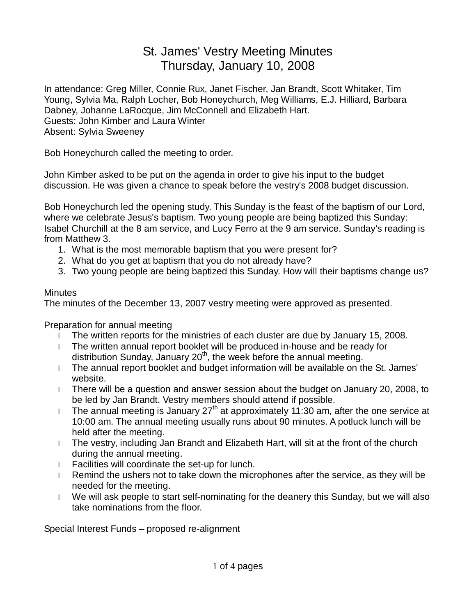## St. James' Vestry Meeting Minutes Thursday, January 10, 2008

In attendance: Greg Miller, Connie Rux, Janet Fischer, Jan Brandt, Scott Whitaker, Tim Young, Sylvia Ma, Ralph Locher, Bob Honeychurch, Meg Williams, E.J. Hilliard, Barbara Dabney, Johanne LaRocque, Jim McConnell and Elizabeth Hart. Guests: John Kimber and Laura Winter Absent: Sylvia Sweeney

Bob Honeychurch called the meeting to order.

John Kimber asked to be put on the agenda in order to give his input to the budget discussion. He was given a chance to speak before the vestry's 2008 budget discussion.

Bob Honeychurch led the opening study. This Sunday is the feast of the baptism of our Lord, where we celebrate Jesus's baptism. Two young people are being baptized this Sunday: Isabel Churchill at the 8 am service, and Lucy Ferro at the 9 am service. Sunday's reading is from Matthew 3.

- 1. What is the most memorable baptism that you were present for?
- 2. What do you get at baptism that you do not already have?
- 3. Two young people are being baptized this Sunday. How will their baptisms change us?

## **Minutes**

The minutes of the December 13, 2007 vestry meeting were approved as presented.

Preparation for annual meeting

- l The written reports for the ministries of each cluster are due by January 15, 2008.
- l The written annual report booklet will be produced in-house and be ready for distribution Sunday, January  $20<sup>th</sup>$ , the week before the annual meeting.
- l The annual report booklet and budget information will be available on the St. James' website.
- l There will be a question and answer session about the budget on January 20, 2008, to be led by Jan Brandt. Vestry members should attend if possible.
- I The annual meeting is January 27<sup>th</sup> at approximately 11:30 am, after the one service at 10:00 am. The annual meeting usually runs about 90 minutes. A potluck lunch will be held after the meeting.
- l The vestry, including Jan Brandt and Elizabeth Hart, will sit at the front of the church during the annual meeting.
- l Facilities will coordinate the set-up for lunch.
- l Remind the ushers not to take down the microphones after the service, as they will be needed for the meeting.
- l We will ask people to start self-nominating for the deanery this Sunday, but we will also take nominations from the floor.

Special Interest Funds – proposed re-alignment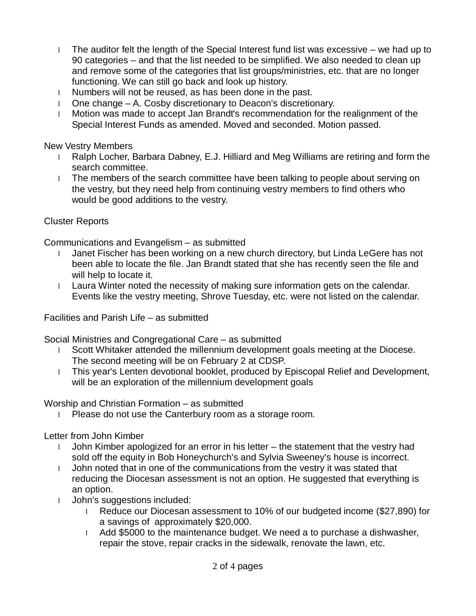- l The auditor felt the length of the Special Interest fund list was excessive we had up to 90 categories – and that the list needed to be simplified. We also needed to clean up and remove some of the categories that list groups/ministries, etc. that are no longer functioning. We can still go back and look up history.
- l Numbers will not be reused, as has been done in the past.
- l One change A. Cosby discretionary to Deacon's discretionary.
- l Motion was made to accept Jan Brandt's recommendation for the realignment of the Special Interest Funds as amended. Moved and seconded. Motion passed.

New Vestry Members

- l Ralph Locher, Barbara Dabney, E.J. Hilliard and Meg Williams are retiring and form the search committee.
- l The members of the search committee have been talking to people about serving on the vestry, but they need help from continuing vestry members to find others who would be good additions to the vestry.

## Cluster Reports

Communications and Evangelism – as submitted

- l Janet Fischer has been working on a new church directory, but Linda LeGere has not been able to locate the file. Jan Brandt stated that she has recently seen the file and will help to locate it.
- l Laura Winter noted the necessity of making sure information gets on the calendar. Events like the vestry meeting, Shrove Tuesday, etc. were not listed on the calendar.

Facilities and Parish Life – as submitted

Social Ministries and Congregational Care – as submitted

- l Scott Whitaker attended the millennium development goals meeting at the Diocese. The second meeting will be on February 2 at CDSP.
- l This year's Lenten devotional booklet, produced by Episcopal Relief and Development, will be an exploration of the millennium development goals

Worship and Christian Formation – as submitted

l Please do not use the Canterbury room as a storage room.

Letter from John Kimber

- l John Kimber apologized for an error in his letter the statement that the vestry had sold off the equity in Bob Honeychurch's and Sylvia Sweeney's house is incorrect.
- l John noted that in one of the communications from the vestry it was stated that reducing the Diocesan assessment is not an option. He suggested that everything is an option.
- l John's suggestions included:
	- l Reduce our Diocesan assessment to 10% of our budgeted income (\$27,890) for a savings of approximately \$20,000.
	- l Add \$5000 to the maintenance budget. We need a to purchase a dishwasher, repair the stove, repair cracks in the sidewalk, renovate the lawn, etc.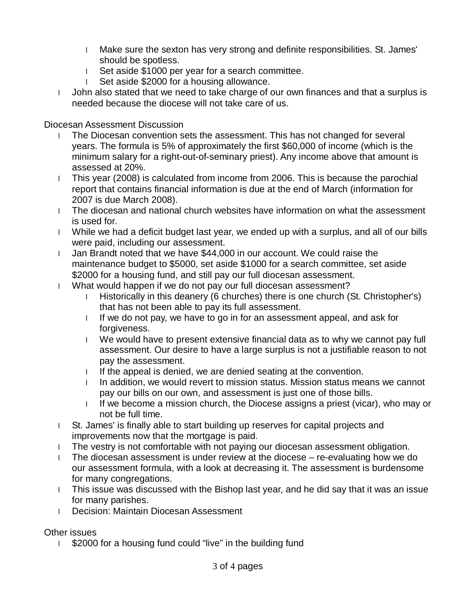- l Make sure the sexton has very strong and definite responsibilities. St. James' should be spotless.
- l Set aside \$1000 per year for a search committee.
- l Set aside \$2000 for a housing allowance.
- l John also stated that we need to take charge of our own finances and that a surplus is needed because the diocese will not take care of us.

Diocesan Assessment Discussion

- l The Diocesan convention sets the assessment. This has not changed for several years. The formula is 5% of approximately the first \$60,000 of income (which is the minimum salary for a right-out-of-seminary priest). Any income above that amount is assessed at 20%.
- l This year (2008) is calculated from income from 2006. This is because the parochial report that contains financial information is due at the end of March (information for 2007 is due March 2008).
- l The diocesan and national church websites have information on what the assessment is used for.
- l While we had a deficit budget last year, we ended up with a surplus, and all of our bills were paid, including our assessment.
- l Jan Brandt noted that we have \$44,000 in our account. We could raise the maintenance budget to \$5000, set aside \$1000 for a search committee, set aside \$2000 for a housing fund, and still pay our full diocesan assessment.
- l What would happen if we do not pay our full diocesan assessment?
	- l Historically in this deanery (6 churches) there is one church (St. Christopher's) that has not been able to pay its full assessment.
	- I If we do not pay, we have to go in for an assessment appeal, and ask for forgiveness.
	- l We would have to present extensive financial data as to why we cannot pay full assessment. Our desire to have a large surplus is not a justifiable reason to not pay the assessment.
	- I If the appeal is denied, we are denied seating at the convention.
	- I In addition, we would revert to mission status. Mission status means we cannot pay our bills on our own, and assessment is just one of those bills.
	- l If we become a mission church, the Diocese assigns a priest (vicar), who may or not be full time.
- l St. James' is finally able to start building up reserves for capital projects and improvements now that the mortgage is paid.
- l The vestry is not comfortable with not paying our diocesan assessment obligation.
- l The diocesan assessment is under review at the diocese re-evaluating how we do our assessment formula, with a look at decreasing it. The assessment is burdensome for many congregations.
- l This issue was discussed with the Bishop last year, and he did say that it was an issue for many parishes.
- l Decision: Maintain Diocesan Assessment

Other issues

1 \$2000 for a housing fund could "live" in the building fund